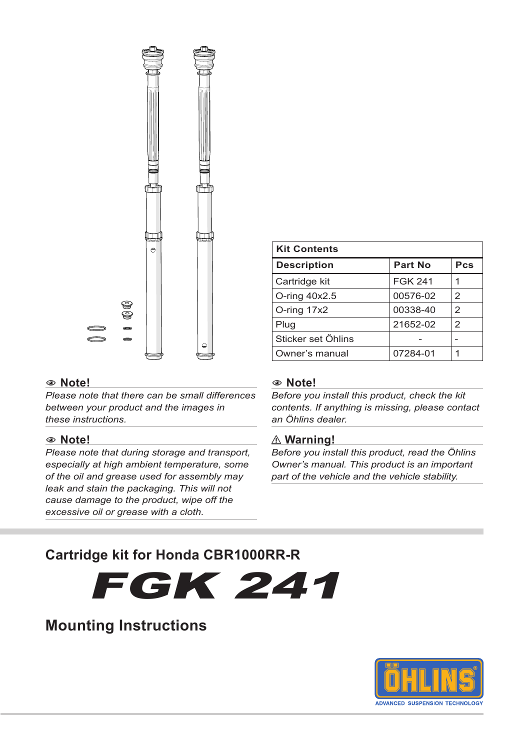

#### 1 **Note!**

*Please note that there can be small differences between your product and the images in these instructions.*

#### 1 **Note!**

*Please note that during storage and transport, especially at high ambient temperature, some of the oil and grease used for assembly may leak and stain the packaging. This will not cause damage to the product, wipe off the excessive oil or grease with a cloth.*

#### 1 **Note!**

**Kit Contents**

*Before you install this product, check the kit contents. If anything is missing, please contact an Öhlins dealer.*

**Description Part No Pcs** Cartridge kit FGK 241 1 O-ring 40x2.5 00576-02 2 O-ring 17x2 00338-40 2 Plug 21652-02 2 Sticker set Öhlins | - | -Owner's manual | 07284-01 | 1

#### ⚠ **Warning!**

*Before you install this product, read the Öhlins Owner's manual. This product is an important part of the vehicle and the vehicle stability.*

# **Cartridge kit for Honda CBR1000RR-R**

FGK 241

# **Mounting Instructions**

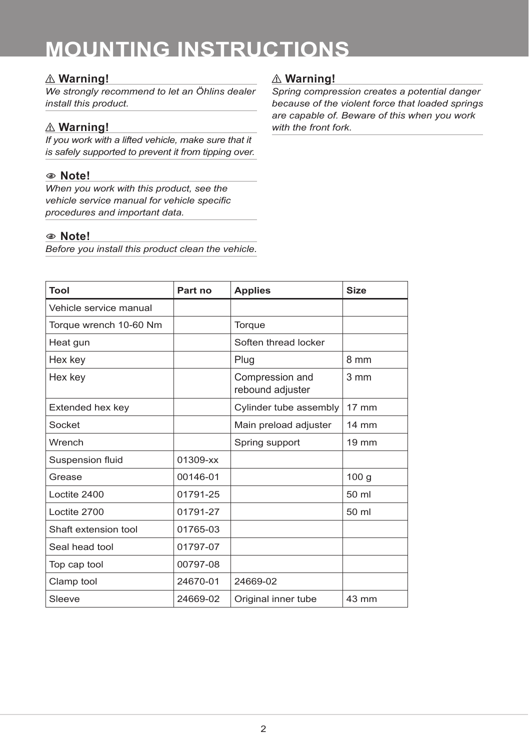# ⚠ **Warning!**

*We strongly recommend to let an Öhlins dealer install this product.*

# ⚠ **Warning!**

*If you work with a lifted vehicle, make sure that it is safely supported to prevent it from tipping over.*

# 1 **Note!**

*When you work with this product, see the vehicle service manual for vehicle specific procedures and important data.*

### 1 **Note!**

*Before you install this product clean the vehicle.*

# ⚠ **Warning!**

*Spring compression creates a potential danger because of the violent force that loaded springs are capable of. Beware of this when you work with the front fork.*

| Tool                   | Part no  | <b>Applies</b>                      | <b>Size</b>      |
|------------------------|----------|-------------------------------------|------------------|
| Vehicle service manual |          |                                     |                  |
| Torque wrench 10-60 Nm |          | Torque                              |                  |
| Heat gun               |          | Soften thread locker                |                  |
| Hex key                |          | Plug                                | 8 mm             |
| Hex key                |          | Compression and<br>rebound adjuster | 3 mm             |
| Extended hex key       |          | Cylinder tube assembly              | $17 \text{ mm}$  |
| Socket                 |          | Main preload adjuster               | $14 \text{ mm}$  |
| Wrench                 |          | Spring support                      | $19 \text{ mm}$  |
| Suspension fluid       | 01309-xx |                                     |                  |
| Grease                 | 00146-01 |                                     | 100 <sub>g</sub> |
| Loctite 2400           | 01791-25 |                                     | 50 ml            |
| Loctite 2700           | 01791-27 |                                     | 50 ml            |
| Shaft extension tool   | 01765-03 |                                     |                  |
| Seal head tool         | 01797-07 |                                     |                  |
| Top cap tool           | 00797-08 |                                     |                  |
| Clamp tool             | 24670-01 | 24669-02                            |                  |
| Sleeve                 | 24669-02 | Original inner tube                 | 43 mm            |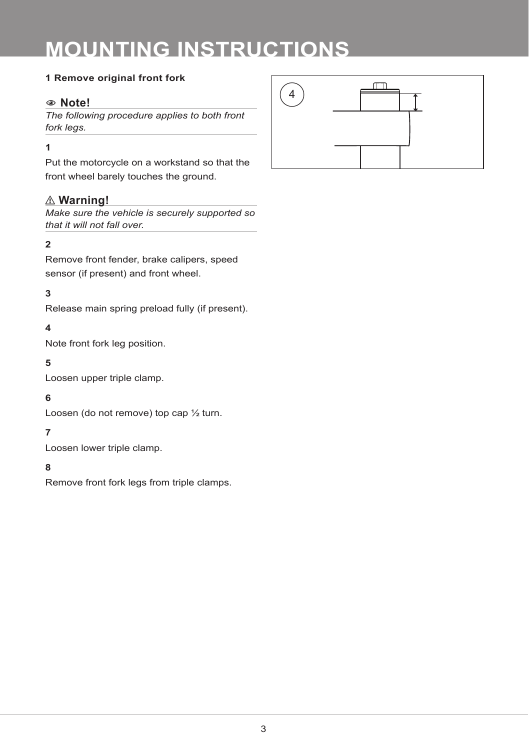#### **1 Remove original front fork**

# 1 **Note!**

*The following procedure applies to both front fork legs.*

#### **1**

Put the motorcycle on a workstand so that the front wheel barely touches the ground.

# ⚠ **Warning!**

*Make sure the vehicle is securely supported so that it will not fall over.*

# **2**

Remove front fender, brake calipers, speed sensor (if present) and front wheel.

# **3**

Release main spring preload fully (if present).

### **4**

Note front fork leg position.

#### **5**

Loosen upper triple clamp.

#### **6**

Loosen (do not remove) top cap ½ turn.

#### **7**

Loosen lower triple clamp.

#### **8**

Remove front fork legs from triple clamps.

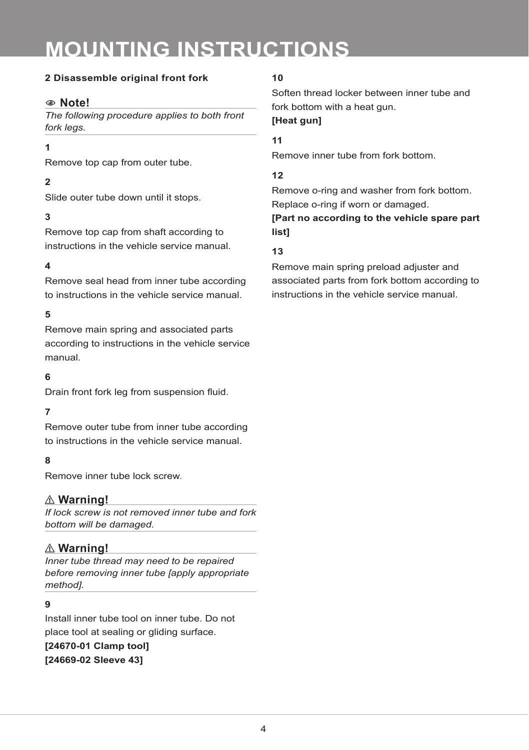### **2 Disassemble original front fork**

# 1 **Note!**

*The following procedure applies to both front fork legs.*

#### **1**

Remove top cap from outer tube.

#### **2**

Slide outer tube down until it stops.

### **3**

Remove top cap from shaft according to instructions in the vehicle service manual.

#### **4**

Remove seal head from inner tube according to instructions in the vehicle service manual.

#### **5**

Remove main spring and associated parts according to instructions in the vehicle service manual.

#### **6**

Drain front fork leg from suspension fluid.

#### **7**

Remove outer tube from inner tube according to instructions in the vehicle service manual.

#### **8**

Remove inner tube lock screw.

#### ⚠ **Warning!**

*If lock screw is not removed inner tube and fork bottom will be damaged.*

#### ⚠ **Warning!**

*Inner tube thread may need to be repaired before removing inner tube [apply appropriate method].*

#### **9**

Install inner tube tool on inner tube. Do not place tool at sealing or gliding surface.

**[24670-01 Clamp tool] [24669-02 Sleeve 43]**

#### **10**

Soften thread locker between inner tube and fork bottom with a heat gun. **[Heat gun]**

#### **11**

Remove inner tube from fork bottom.

#### **12**

Remove o-ring and washer from fork bottom. Replace o-ring if worn or damaged.

### **[Part no according to the vehicle spare part list]**

#### **13**

Remove main spring preload adjuster and associated parts from fork bottom according to instructions in the vehicle service manual.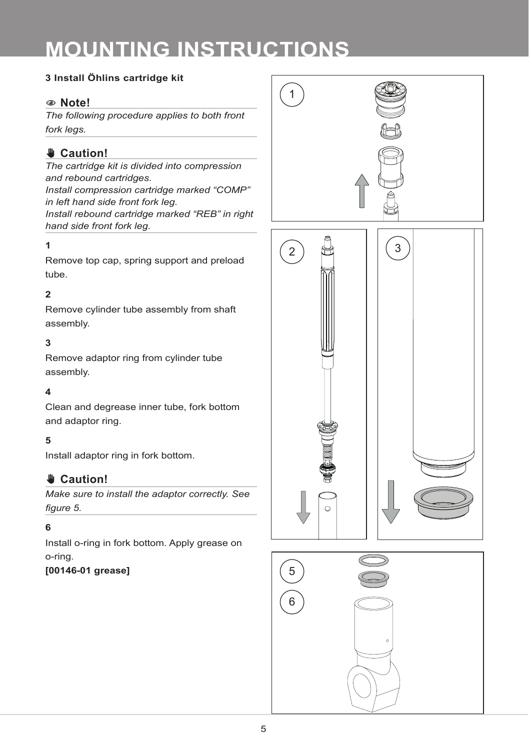# **3 Install Öhlins cartridge kit**

# 1 **Note!**

*The following procedure applies to both front fork legs.*

# ✋ **Caution!**

*The cartridge kit is divided into compression and rebound cartridges.*

*Install compression cartridge marked "COMP" in left hand side front fork leg. Install rebound cartridge marked "REB" in right hand side front fork leg.*

### **1**

Remove top cap, spring support and preload tube.

# **2**

Remove cylinder tube assembly from shaft assembly.

# **3**

Remove adaptor ring from cylinder tube assembly.

#### **4**

Clean and degrease inner tube, fork bottom and adaptor ring.

#### **5**

Install adaptor ring in fork bottom.

# ✋ **Caution!**

*Make sure to install the adaptor correctly. See figure 5.* 

#### **6**

Install o-ring in fork bottom. Apply grease on o-ring.

#### **[00146-01 grease]**

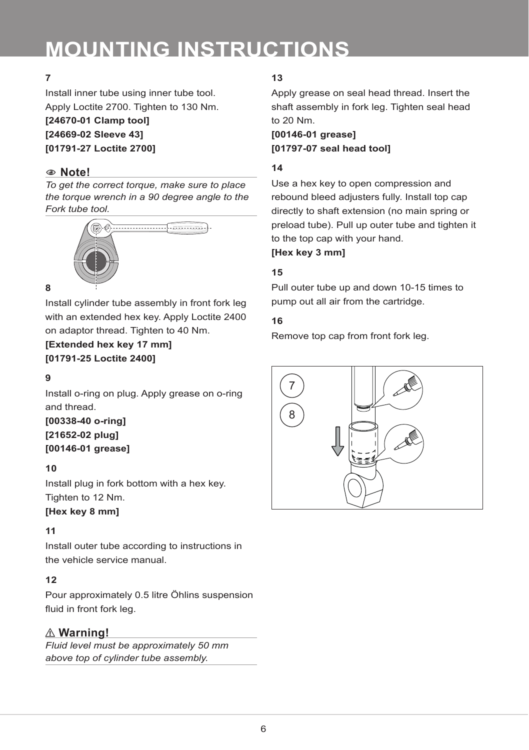# **7**

Install inner tube using inner tube tool. Apply Loctite 2700. Tighten to 130 Nm.

**[24670-01 Clamp tool] [24669-02 Sleeve 43] [01791-27 Loctite 2700]**

# 1 **Note!**

*To get the correct torque, make sure to place the torque wrench in a 90 degree angle to the Fork tube tool.*



#### **8**

Install cylinder tube assembly in front fork leg with an extended hex key. Apply Loctite 2400 on adaptor thread. Tighten to 40 Nm.

**[Extended hex key 17 mm] [01791-25 Loctite 2400]**

#### **9**

Install o-ring on plug. Apply grease on o-ring and thread.

**[00338-40 o-ring] [21652-02 plug] [00146-01 grease]**

### **10**

Install plug in fork bottom with a hex key. Tighten to 12 Nm.

#### **[Hex key 8 mm]**

# **11**

Install outer tube according to instructions in the vehicle service manual.

# **12**

Pour approximately 0.5 litre Öhlins suspension fluid in front fork leg.

# ⚠ **Warning!**

*Fluid level must be approximately 50 mm above top of cylinder tube assembly.*

# **13**

Apply grease on seal head thread. Insert the shaft assembly in fork leg. Tighten seal head to 20 Nm.

**[00146-01 grease] [01797-07 seal head tool]**

### **14**

Use a hex key to open compression and rebound bleed adjusters fully. Install top cap directly to shaft extension (no main spring or preload tube). Pull up outer tube and tighten it to the top cap with your hand.

**[Hex key 3 mm]**

# **15**

Pull outer tube up and down 10-15 times to pump out all air from the cartridge.

#### **16**

Remove top cap from front fork leg.

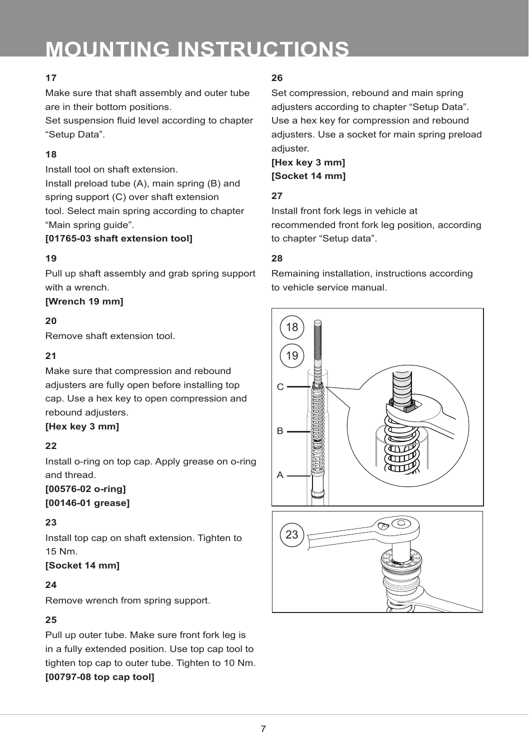# **17**

Make sure that shaft assembly and outer tube are in their bottom positions.

Set suspension fluid level according to chapter "Setup Data".

# **18**

Install tool on shaft extension. Install preload tube (A), main spring (B) and spring support (C) over shaft extension

tool. Select main spring according to chapter "Main spring guide".

### **[01765-03 shaft extension tool]**

# **19**

Pull up shaft assembly and grab spring support with a wrench.

# **[Wrench 19 mm]**

# **20**

Remove shaft extension tool.

# **21**

Make sure that compression and rebound adjusters are fully open before installing top cap. Use a hex key to open compression and rebound adjusters.

# **[Hex key 3 mm]**

# **22**

Install o-ring on top cap. Apply grease on o-ring and thread.

**[00576-02 o-ring] [00146-01 grease]**

# **23**

Install top cap on shaft extension. Tighten to 15 Nm.

# **[Socket 14 mm]**

# **24**

Remove wrench from spring support.

# **25**

Pull up outer tube. Make sure front fork leg is in a fully extended position. Use top cap tool to tighten top cap to outer tube. Tighten to 10 Nm. **[00797-08 top cap tool]**

# **26**

Set compression, rebound and main spring adjusters according to chapter "Setup Data". Use a hex key for compression and rebound adjusters. Use a socket for main spring preload adiuster.

**[Hex key 3 mm] [Socket 14 mm]**

# **27**

Install front fork legs in vehicle at recommended front fork leg position, according to chapter "Setup data".

# **28**

Remaining installation, instructions according to vehicle service manual.